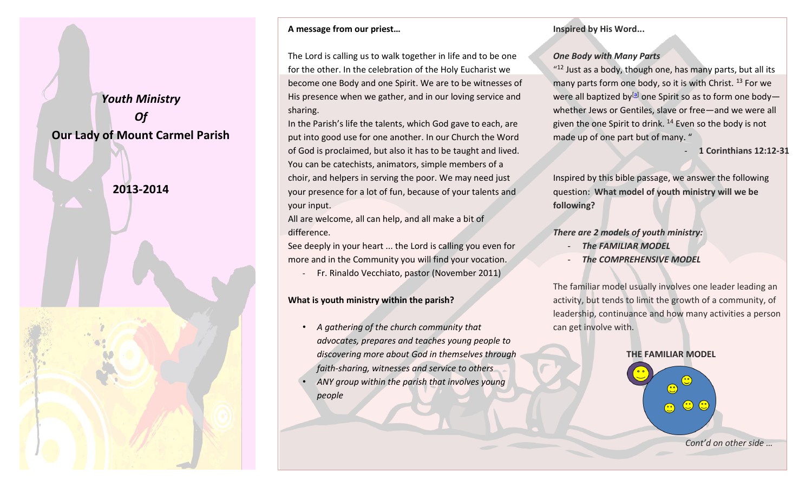*Youth Ministry Of* **Our Lady of Mount Carmel Parish**

# **2013-2014**



#### **A message from our priest…**

The Lord is calling us to walk together in life and to be one for the other. In the celebration of the Holy Eucharist we become one Body and one Spirit. We are to be witnesses of His presence when we gather, and in our loving service and sharing.

In the Parish's life the talents, which God gave to each, are put into good use for one another. In our Church the Word of God is proclaimed, but also it has to be taught and lived. You can be catechists, animators, simple members of a choir, and helpers in serving the poor. We may need just your presence for a lot of fun, because of your talents and your input.

All are welcome, all can help, and all make a bit of difference.

See deeply in your heart ... the Lord is calling you even for more and in the Community you will find your vocation.

- Fr. Rinaldo Vecchiato, pastor (November 2011)

### **What is youth ministry within the parish?**

• *A gathering of the church community that advocates, prepares and teaches young people to discovering more about God in themselves through faith-sharing, witnesses and service to others* 

• *ANY group within the parish that involves young people*

#### **Inspired by His Word...**

#### *One Body with Many Parts*

 $112$  Just as a body, though one, has many parts, but all its many parts form one body, so it is with Christ.<sup>13</sup> For we were all baptized by<sup>[\[a\]](http://www.biblegateway.com/passage/?search=1%20Corinthians%2012:12-31&version=NIV#fen-NIV-28648a)</sup> one Spirit so as to form one bodywhether Jews or Gentiles, slave or free—and we were all given the one Spirit to drink. <sup>14</sup> Even so the body is not made up of one part but of many. "

- **1 Corinthians 12:12-31**

Inspired by this bible passage, we answer the following question: **What model of youth ministry will we be following?**

#### *There are 2 models of youth ministry:*

- *The FAMILIAR MODEL*
- **The COMPREHENSIVE MODEL**

The familiar model usually involves one leader leading an activity, but tends to limit the growth of a community, of leadership, continuance and how many activities a person can get involve with.

# **THE FAMILIAR MODEL**

 $\mathbf{C}$ 

 $\odot$   $\odot$ 

*Cont'd on other side …*